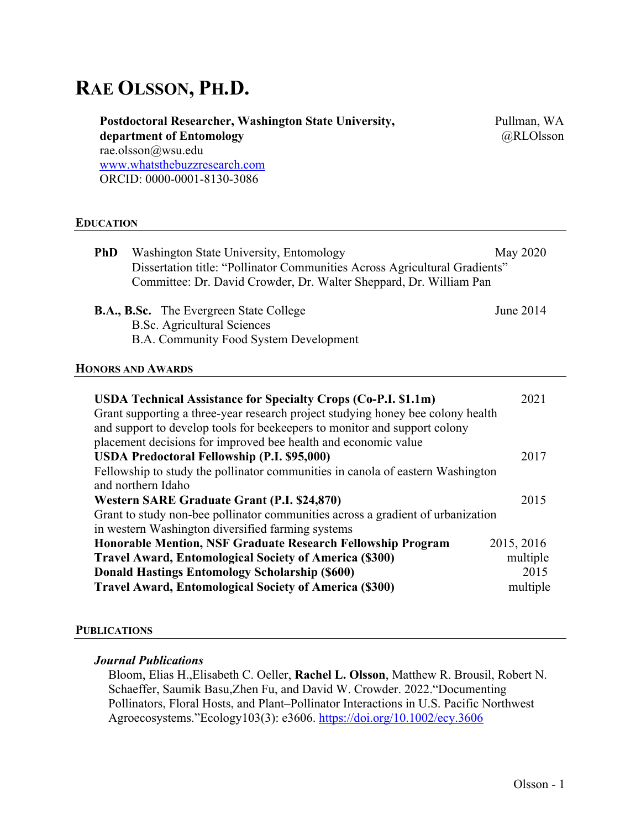# **RAE OLSSON, PH.D.**

| Postdoctoral Researcher, Washington State University, | Pullman, WA |
|-------------------------------------------------------|-------------|
| department of Entomology                              | @RLOlsson   |
| rae.olsson@wsu.edu                                    |             |
| www.whatsthebuzzresearch.com                          |             |
| ORCID: 0000-0001-8130-3086                            |             |
|                                                       |             |

#### **EDUCATION**

| Washington State University, Entomology<br><b>PhD</b><br>Dissertation title: "Pollinator Communities Across Agricultural Gradients"<br>Committee: Dr. David Crowder, Dr. Walter Sheppard, Dr. William Pan | May 2020  |
|-----------------------------------------------------------------------------------------------------------------------------------------------------------------------------------------------------------|-----------|
| <b>B.A., B.Sc.</b> The Evergreen State College<br><b>B.Sc. Agricultural Sciences</b><br>B.A. Community Food System Development                                                                            | June 2014 |
| <b>HONORS AND AWARDS</b>                                                                                                                                                                                  |           |
| ISDA Technical Assistance for Specialty Crops (Co-PI \$1.1m)                                                                                                                                              | 2021      |

| <b>USDA Technical Assistance for Specialty Crops (Co-P.I. \$1.1m)</b>           | 2021       |
|---------------------------------------------------------------------------------|------------|
| Grant supporting a three-year research project studying honey bee colony health |            |
| and support to develop tools for beekeepers to monitor and support colony       |            |
| placement decisions for improved bee health and economic value                  |            |
| <b>USDA Predoctoral Fellowship (P.I. \$95,000)</b>                              | 2017       |
| Fellowship to study the pollinator communities in canola of eastern Washington  |            |
| and northern Idaho                                                              |            |
| Western SARE Graduate Grant (P.I. \$24,870)                                     | 2015       |
| Grant to study non-bee pollinator communities across a gradient of urbanization |            |
| in western Washington diversified farming systems                               |            |
| Honorable Mention, NSF Graduate Research Fellowship Program                     | 2015, 2016 |
| <b>Travel Award, Entomological Society of America (\$300)</b>                   | multiple   |
| <b>Donald Hastings Entomology Scholarship (\$600)</b>                           | 2015       |
| <b>Travel Award, Entomological Society of America (\$300)</b>                   | multiple   |

### **PUBLICATIONS**

### *Journal Publications*

Bloom, Elias H.,Elisabeth C. Oeller, **Rachel L. Olsson**, Matthew R. Brousil, Robert N. Schaeffer, Saumik Basu,Zhen Fu, and David W. Crowder. 2022."Documenting Pollinators, Floral Hosts, and Plant–Pollinator Interactions in U.S. Pacific Northwest Agroecosystems."Ecology103(3): e3606. https://doi.org/10.1002/ecy.3606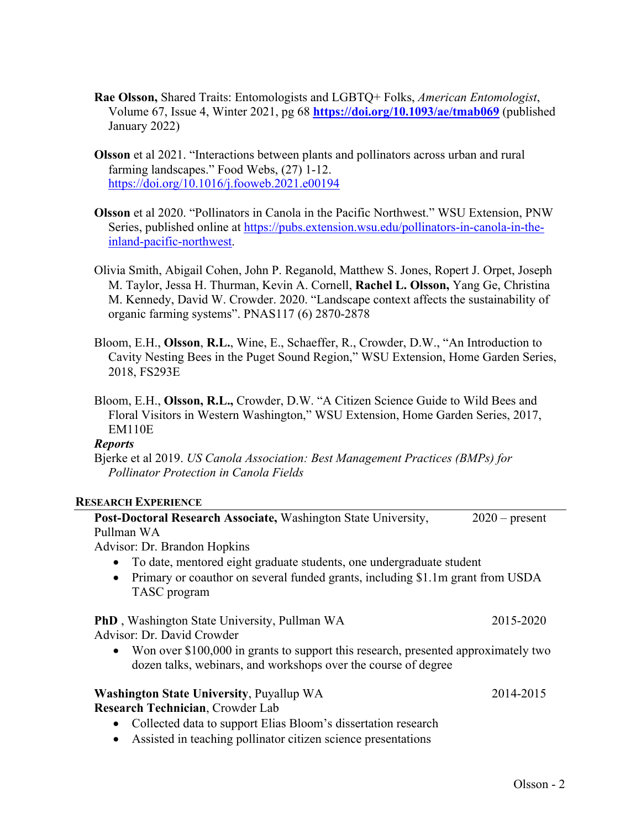- **Rae Olsson,** Shared Traits: Entomologists and LGBTQ+ Folks, *American Entomologist*, Volume 67, Issue 4, Winter 2021, pg 68 **https://doi.org/10.1093/ae/tmab069** (published January 2022)
- **Olsson** et al 2021. "Interactions between plants and pollinators across urban and rural farming landscapes." Food Webs, (27) 1-12. https://doi.org/10.1016/j.fooweb.2021.e00194
- **Olsson** et al 2020. "Pollinators in Canola in the Pacific Northwest." WSU Extension, PNW Series, published online at https://pubs.extension.wsu.edu/pollinators-in-canola-in-theinland-pacific-northwest.
- Olivia Smith, Abigail Cohen, John P. Reganold, Matthew S. Jones, Ropert J. Orpet, Joseph M. Taylor, Jessa H. Thurman, Kevin A. Cornell, **Rachel L. Olsson,** Yang Ge, Christina M. Kennedy, David W. Crowder. 2020. "Landscape context affects the sustainability of organic farming systems". PNAS117 (6) 2870-2878
- Bloom, E.H., **Olsson**, **R.L.**, Wine, E., Schaeffer, R., Crowder, D.W., "An Introduction to Cavity Nesting Bees in the Puget Sound Region," WSU Extension, Home Garden Series, 2018, FS293E
- Bloom, E.H., **Olsson, R.L.,** Crowder, D.W. "A Citizen Science Guide to Wild Bees and Floral Visitors in Western Washington," WSU Extension, Home Garden Series, 2017, EM110E

### *Reports*

Bjerke et al 2019. *US Canola Association: Best Management Practices (BMPs) for Pollinator Protection in Canola Fields*

### **RESEARCH EXPERIENCE**

| Post-Doctoral Research Associate, Washington State University,                                                                                       | $2020$ – present |
|------------------------------------------------------------------------------------------------------------------------------------------------------|------------------|
| Pullman WA                                                                                                                                           |                  |
| Advisor: Dr. Brandon Hopkins                                                                                                                         |                  |
| To date, mentored eight graduate students, one undergraduate student                                                                                 |                  |
| Primary or coauthor on several funded grants, including \$1.1m grant from USDA<br>TASC program                                                       |                  |
| <b>PhD</b> , Washington State University, Pullman WA                                                                                                 | 2015-2020        |
| Advisor: Dr. David Crowder                                                                                                                           |                  |
| Won over \$100,000 in grants to support this research, presented approximately two<br>dozen talks, webinars, and workshops over the course of degree |                  |
| <b>Washington State University, Puyallup WA</b>                                                                                                      | 2014-2015        |
| Research Technician, Crowder Lab                                                                                                                     |                  |
| Collected data to support Elias Bloom's dissertation research                                                                                        |                  |
| Assisted in teaching pollinator citizen science presentations                                                                                        |                  |
|                                                                                                                                                      | $\sim$ 1         |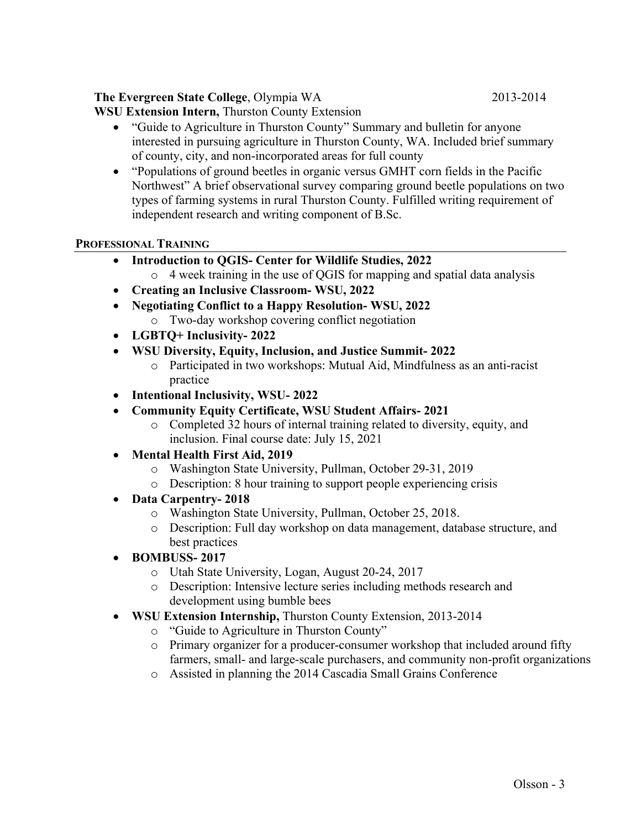### **The Evergreen State College**, Olympia WA 2013-2014

**WSU Extension Intern,** Thurston County Extension

- "Guide to Agriculture in Thurston County" Summary and bulletin for anyone interested in pursuing agriculture in Thurston County, WA. Included brief summary of county, city, and non-incorporated areas for full county
- "Populations of ground beetles in organic versus GMHT corn fields in the Pacific Northwest" A brief observational survey comparing ground beetle populations on two types of farming systems in rural Thurston County. Fulfilled writing requirement of independent research and writing component of B.Sc.

### **PROFESSIONAL TRAINING**

- **Introduction to QGIS- Center for Wildlife Studies, 2022**
	- o 4 week training in the use of QGIS for mapping and spatial data analysis
- **Creating an Inclusive Classroom- WSU, 2022**
- **Negotiating Conflict to a Happy Resolution- WSU, 2022** o Two-day workshop covering conflict negotiation
- **LGBTQ+ Inclusivity- 2022**
- **WSU Diversity, Equity, Inclusion, and Justice Summit- 2022**
	- o Participated in two workshops: Mutual Aid, Mindfulness as an anti-racist practice
- **Intentional Inclusivity, WSU- 2022**
- **Community Equity Certificate, WSU Student Affairs- 2021**
	- o Completed 32 hours of internal training related to diversity, equity, and inclusion. Final course date: July 15, 2021
- **Mental Health First Aid, 2019**
	- o Washington State University, Pullman, October 29-31, 2019
	- o Description: 8 hour training to support people experiencing crisis
- **Data Carpentry- 2018**
	- o Washington State University, Pullman, October 25, 2018.
	- o Description: Full day workshop on data management, database structure, and best practices
- **BOMBUSS- 2017**
	- o Utah State University, Logan, August 20-24, 2017
	- o Description: Intensive lecture series including methods research and development using bumble bees
- **WSU Extension Internship,** Thurston County Extension, 2013-2014
	- o "Guide to Agriculture in Thurston County"
	- o Primary organizer for a producer-consumer workshop that included around fifty farmers, small- and large-scale purchasers, and community non-profit organizations
	- o Assisted in planning the 2014 Cascadia Small Grains Conference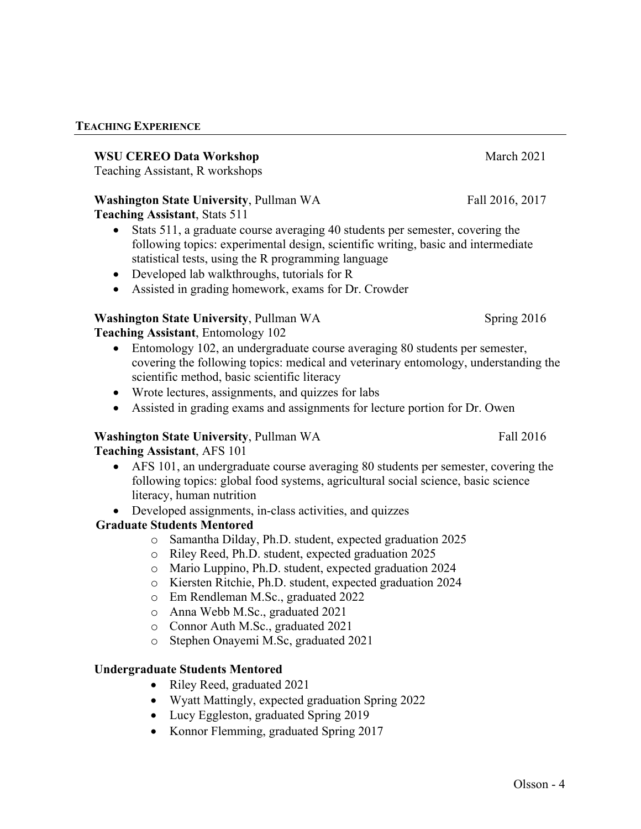#### **TEACHING EXPERIENCE**

### **WSU CEREO Data Workshop** March 2021

Teaching Assistant, R workshops

### **Washington State University, Pullman WA Fall 2016, 2017 Teaching Assistant**, Stats 511

- Stats 511, a graduate course averaging 40 students per semester, covering the following topics: experimental design, scientific writing, basic and intermediate statistical tests, using the R programming language
- Developed lab walkthroughs, tutorials for R
- Assisted in grading homework, exams for Dr. Crowder

# **Washington State University, Pullman WA** Spring 2016

**Teaching Assistant**, Entomology 102

- Entomology 102, an undergraduate course averaging 80 students per semester, covering the following topics: medical and veterinary entomology, understanding the scientific method, basic scientific literacy
- Wrote lectures, assignments, and quizzes for labs
- Assisted in grading exams and assignments for lecture portion for Dr. Owen

# **Washington State University, Pullman WA Fall 2016**

# **Teaching Assistant**, AFS 101

- AFS 101, an undergraduate course averaging 80 students per semester, covering the following topics: global food systems, agricultural social science, basic science literacy, human nutrition
- Developed assignments, in-class activities, and quizzes

# **Graduate Students Mentored**

- o Samantha Dilday, Ph.D. student, expected graduation 2025
- o Riley Reed, Ph.D. student, expected graduation 2025
- o Mario Luppino, Ph.D. student, expected graduation 2024
- o Kiersten Ritchie, Ph.D. student, expected graduation 2024
- o Em Rendleman M.Sc., graduated 2022
- o Anna Webb M.Sc., graduated 2021
- o Connor Auth M.Sc., graduated 2021
- o Stephen Onayemi M.Sc, graduated 2021

# **Undergraduate Students Mentored**

- Riley Reed, graduated 2021
- Wyatt Mattingly, expected graduation Spring 2022
- Lucy Eggleston, graduated Spring 2019
- Konnor Flemming, graduated Spring 2017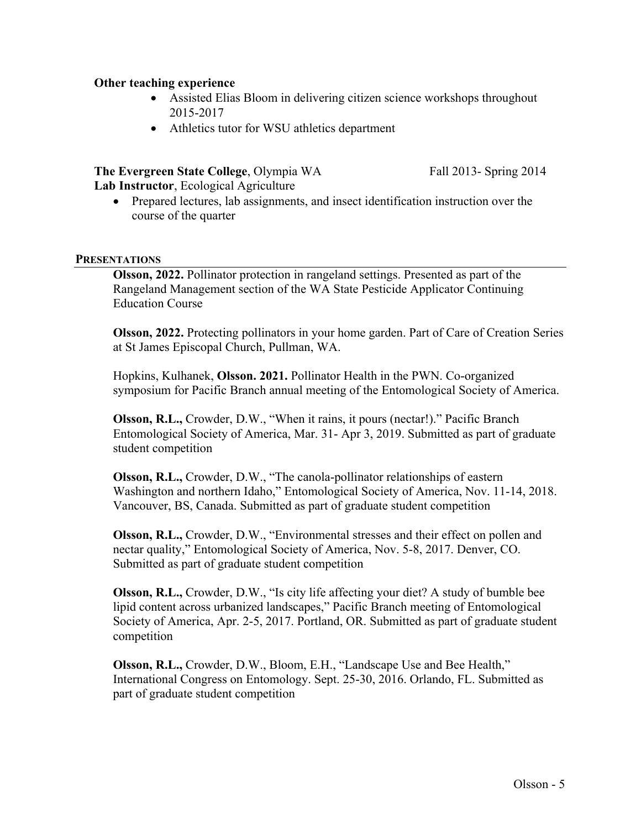### **Other teaching experience**

- Assisted Elias Bloom in delivering citizen science workshops throughout 2015-2017
- Athletics tutor for WSU athletics department

### **The Evergreen State College**, Olympia WA Fall 2013- Spring 2014

**Lab Instructor**, Ecological Agriculture

• Prepared lectures, lab assignments, and insect identification instruction over the course of the quarter

#### **PRESENTATIONS**

**Olsson, 2022.** Pollinator protection in rangeland settings. Presented as part of the Rangeland Management section of the WA State Pesticide Applicator Continuing Education Course

**Olsson, 2022.** Protecting pollinators in your home garden. Part of Care of Creation Series at St James Episcopal Church, Pullman, WA.

Hopkins, Kulhanek, **Olsson. 2021.** Pollinator Health in the PWN. Co-organized symposium for Pacific Branch annual meeting of the Entomological Society of America.

**Olsson, R.L.,** Crowder, D.W., "When it rains, it pours (nectar!)." Pacific Branch Entomological Society of America, Mar. 31- Apr 3, 2019. Submitted as part of graduate student competition

**Olsson, R.L.,** Crowder, D.W., "The canola-pollinator relationships of eastern Washington and northern Idaho," Entomological Society of America, Nov. 11-14, 2018. Vancouver, BS, Canada. Submitted as part of graduate student competition

**Olsson, R.L.,** Crowder, D.W., "Environmental stresses and their effect on pollen and nectar quality," Entomological Society of America, Nov. 5-8, 2017. Denver, CO. Submitted as part of graduate student competition

**Olsson, R.L.,** Crowder, D.W., "Is city life affecting your diet? A study of bumble bee lipid content across urbanized landscapes," Pacific Branch meeting of Entomological Society of America, Apr. 2-5, 2017. Portland, OR. Submitted as part of graduate student competition

**Olsson, R.L.,** Crowder, D.W., Bloom, E.H., "Landscape Use and Bee Health," International Congress on Entomology. Sept. 25-30, 2016. Orlando, FL. Submitted as part of graduate student competition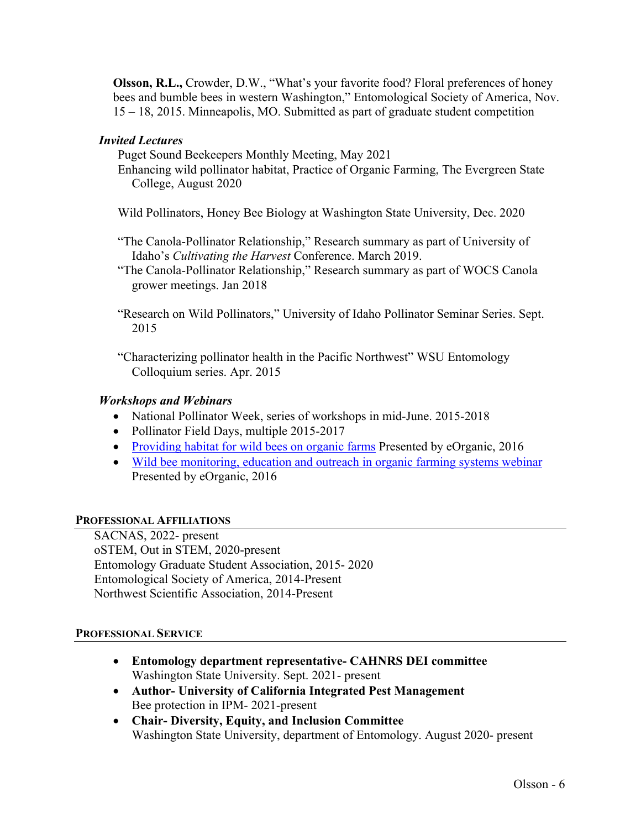**Olsson, R.L.,** Crowder, D.W., "What's your favorite food? Floral preferences of honey bees and bumble bees in western Washington," Entomological Society of America, Nov. 15 – 18, 2015. Minneapolis, MO. Submitted as part of graduate student competition

### *Invited Lectures*

Puget Sound Beekeepers Monthly Meeting, May 2021

- Enhancing wild pollinator habitat, Practice of Organic Farming, The Evergreen State College, August 2020
- Wild Pollinators, Honey Bee Biology at Washington State University, Dec. 2020
- "The Canola-Pollinator Relationship," Research summary as part of University of Idaho's *Cultivating the Harvest* Conference. March 2019.
- "The Canola-Pollinator Relationship," Research summary as part of WOCS Canola grower meetings. Jan 2018
- "Research on Wild Pollinators," University of Idaho Pollinator Seminar Series. Sept. 2015
- "Characterizing pollinator health in the Pacific Northwest" WSU Entomology Colloquium series. Apr. 2015

### *Workshops and Webinars*

- National Pollinator Week, series of workshops in mid-June. 2015-2018
- Pollinator Field Days, multiple 2015-2017
- Providing habitat for wild bees on organic farms Presented by eOrganic, 2016
- Wild bee monitoring, education and outreach in organic farming systems webinar Presented by eOrganic, 2016

### **PROFESSIONAL AFFILIATIONS**

SACNAS, 2022- present oSTEM, Out in STEM, 2020-present Entomology Graduate Student Association, 2015- 2020 Entomological Society of America, 2014-Present Northwest Scientific Association, 2014-Present

### **PROFESSIONAL SERVICE**

- **Entomology department representative- CAHNRS DEI committee** Washington State University. Sept. 2021- present
- **Author- University of California Integrated Pest Management** Bee protection in IPM- 2021-present
- **Chair- Diversity, Equity, and Inclusion Committee** Washington State University, department of Entomology. August 2020- present